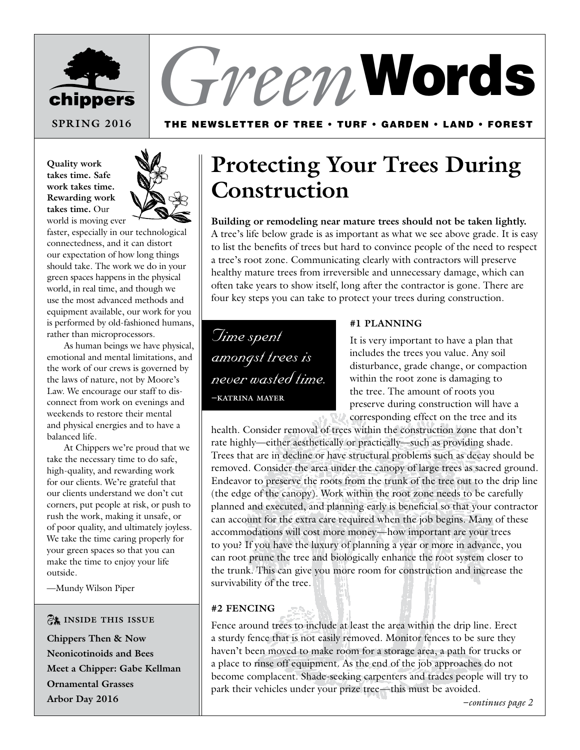

# *Green* Words

### The Newsletter of Tree • Turf • garden • Land • Forest

**Quality work takes time. Safe work takes time. Rewarding work takes time.** Our world is moving ever



faster, especially in our technological connectedness, and it can distort our expectation of how long things should take. The work we do in your green spaces happens in the physical world, in real time, and though we use the most advanced methods and equipment available, our work for you is performed by old-fashioned humans, rather than microprocessors.

As human beings we have physical, emotional and mental limitations, and the work of our crews is governed by the laws of nature, not by Moore's Law. We encourage our staff to disconnect from work on evenings and weekends to restore their mental and physical energies and to have a balanced life.

At Chippers we're proud that we take the necessary time to do safe, high-quality, and rewarding work for our clients. We're grateful that our clients understand we don't cut corners, put people at risk, or push to rush the work, making it unsafe, or of poor quality, and ultimately joyless. We take the time caring properly for your green spaces so that you can make the time to enjoy your life outside.

—Mundy Wilson Piper

### \*  **inside this issue**

**Chippers Then & Now Neonicotinoids and Bees Meet a Chipper: Gabe Kellman Ornamental Grasses Arbor Day 2016**

# **Protecting Your Trees During Construction**

**Building or remodeling near mature trees should not be taken lightly.** A tree's life below grade is as important as what we see above grade. It is easy to list the benefits of trees but hard to convince people of the need to respect a tree's root zone. Communicating clearly with contractors will preserve healthy mature trees from irreversible and unnecessary damage, which can often take years to show itself, long after the contractor is gone. There are four key steps you can take to protect your trees during construction.

*Time spent amongst trees is never wasted time.* **–katrina mayer**

#### **#1 Planning**

It is very important to have a plan that includes the trees you value. Any soil disturbance, grade change, or compaction within the root zone is damaging to the tree. The amount of roots you preserve during construction will have a corresponding effect on the tree and its

health. Consider removal of trees within the construction zone that don't rate highly—either aesthetically or practically—such as providing shade. Trees that are in decline or have structural problems such as decay should be removed. Consider the area under the canopy of large trees as sacred ground. Endeavor to preserve the roots from the trunk of the tree out to the drip line (the edge of the canopy). Work within the root zone needs to be carefully planned and executed, and planning early is beneficial so that your contractor can account for the extra care required when the job begins. Many of these accommodations will cost more money—how important are your trees to you? If you have the luxury of planning a year or more in advance, you can root prune the tree and biologically enhance the root system closer to the trunk. This can give you more room for construction and increase the survivability of the tree.

#### **#2 Fencing**

Fence around trees to include at least the area within the drip line. Erect a sturdy fence that is not easily removed. Monitor fences to be sure they haven't been moved to make room for a storage area, a path for trucks or a place to rinse off equipment. As the end of the job approaches do not become complacent. Shade-seeking carpenters and trades people will try to park their vehicles under your prize tree—this must be avoided.

*–continues page 2*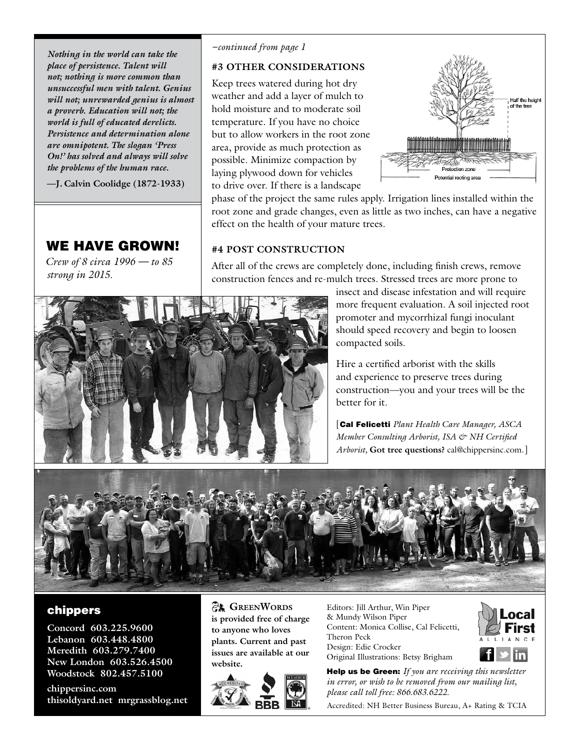*Nothing in the world can take the place of persistence. Talent will not; nothing is more common than unsuccessful men with talent. Genius will not; unrewarded genius is almost a proverb. Education will not; the world is full of educated derelicts. Persistence and determination alone are omnipotent. The slogan 'Press On!' has solved and always will solve the problems of the human race.*

**—J. Calvin Coolidge (1872-1933)**

### WE HAVE GROWN!

*Crew of 8 circa 1996 — to 85 strong in 2015.* 

#### *–continued from page 1*

#### **#3 Other Considerations**

Keep trees watered during hot dry weather and add a layer of mulch to hold moisture and to moderate soil temperature. If you have no choice but to allow workers in the root zone area, provide as much protection as possible. Minimize compaction by laying plywood down for vehicles to drive over. If there is a landscape



phase of the project the same rules apply. Irrigation lines installed within the root zone and grade changes, even as little as two inches, can have a negative effect on the health of your mature trees.

### **#4 Post Construction**

After all of the crews are completely done, including finish crews, remove construction fences and re-mulch trees. Stressed trees are more prone to



insect and disease infestation and will require more frequent evaluation. A soil injected root promoter and mycorrhizal fungi inoculant should speed recovery and begin to loosen compacted soils.

Hire a certified arborist with the skills and experience to preserve trees during construction—you and your trees will be the better for it.

[Cal Felicetti *Plant Health Care Manager, ASCA Member Consulting Arborist, ISA & NH Certified Arborist,* **Got tree questions?** cal@chippersinc.com.]



#### chippers

**Concord 603.225.9600 Lebanon 603.448.4800 Meredith 603.279.7400 New London 603.526.4500 Woodstock 802.457.5100**

**chippersinc.com thisoldyard.net mrgrassblog.net**

**EX GREENWORDS is provided free of charge to anyone who loves plants. Current and past issues are available at our website.**



Editors: Jill Arthur, Win Piper & Mundy Wilson Piper Content: Monica Collise, Cal Felicetti, Theron Peck Design: Edie Crocker Original Illustrations: Betsy Brigham



Help us be Green: *If you are receiving this newsletter in error, or wish to be removed from our mailing list, please call toll free: 866.683.6222.*

Accredited: NH Better Business Bureau, A+ Rating & TCIA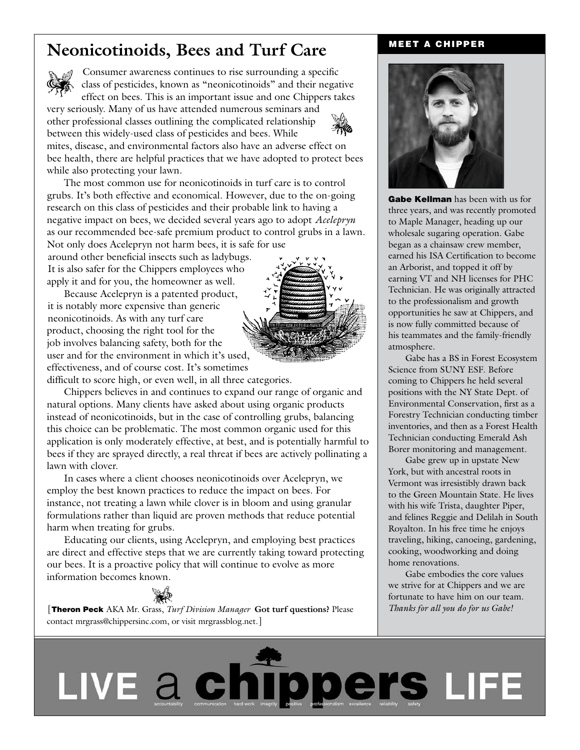### Neonicotinoids, Bees and Turf Care MEET A CHIPPER



Consumer awareness continues to rise surrounding a specific class of pesticides, known as "neonicotinoids" and their negative effect on bees. This is an important issue and one Chippers takes

very seriously. Many of us have attended numerous seminars and other professional classes outlining the complicated relationship between this widely-used class of pesticides and bees. While



mites, disease, and environmental factors also have an adverse effect on bee health, there are helpful practices that we have adopted to protect bees while also protecting your lawn.

The most common use for neonicotinoids in turf care is to control grubs. It's both effective and economical. However, due to the on-going research on this class of pesticides and their probable link to having a negative impact on bees, we decided several years ago to adopt *Acelepryn* as our recommended bee-safe premium product to control grubs in a lawn. Not only does Acelepryn not harm bees, it is safe for use

around other beneficial insects such as ladybugs. It is also safer for the Chippers employees who apply it and for you, the homeowner as well.

Because Acelepryn is a patented product, it is notably more expensive than generic neonicotinoids. As with any turf care product, choosing the right tool for the job involves balancing safety, both for the user and for the environment in which it's used, effectiveness, and of course cost. It's sometimes

difficult to score high, or even well, in all three categories.

Chippers believes in and continues to expand our range of organic and natural options. Many clients have asked about using organic products instead of neonicotinoids, but in the case of controlling grubs, balancing this choice can be problematic. The most common organic used for this application is only moderately effective, at best, and is potentially harmful to bees if they are sprayed directly, a real threat if bees are actively pollinating a lawn with clover.

In cases where a client chooses neonicotinoids over Acelepryn, we employ the best known practices to reduce the impact on bees. For instance, not treating a lawn while clover is in bloom and using granular formulations rather than liquid are proven methods that reduce potential harm when treating for grubs.

Educating our clients, using Acelepryn, and employing best practices are direct and effective steps that we are currently taking toward protecting our bees. It is a proactive policy that will continue to evolve as more information becomes known.



[Theron Peck AKA Mr. Grass, *Turf Division Manager* **Got turf questions?** Please contact mrgrass@chippersinc.com, or visit mrgrassblog.net.]



Gabe Kellman has been with us for three years, and was recently promoted to Maple Manager, heading up our wholesale sugaring operation. Gabe began as a chainsaw crew member, earned his ISA Certification to become an Arborist, and topped it off by earning VT and NH licenses for PHC Technician. He was originally attracted to the professionalism and growth opportunities he saw at Chippers, and is now fully committed because of his teammates and the family-friendly atmosphere.

Gabe has a BS in Forest Ecosystem Science from SUNY ESF. Before coming to Chippers he held several positions with the NY State Dept. of Environmental Conservation, first as a Forestry Technician conducting timber inventories, and then as a Forest Health Technician conducting Emerald Ash Borer monitoring and management.

Gabe grew up in upstate New York, but with ancestral roots in Vermont was irresistibly drawn back to the Green Mountain State. He lives with his wife Trista, daughter Piper, and felines Reggie and Delilah in South Royalton. In his free time he enjoys traveling, hiking, canoeing, gardening, cooking, woodworking and doing home renovations.

Gabe embodies the core values we strive for at Chippers and we are fortunate to have him on our team. *Thanks for all you do for us Gabe!*

LIVE a chilippoers LIFE